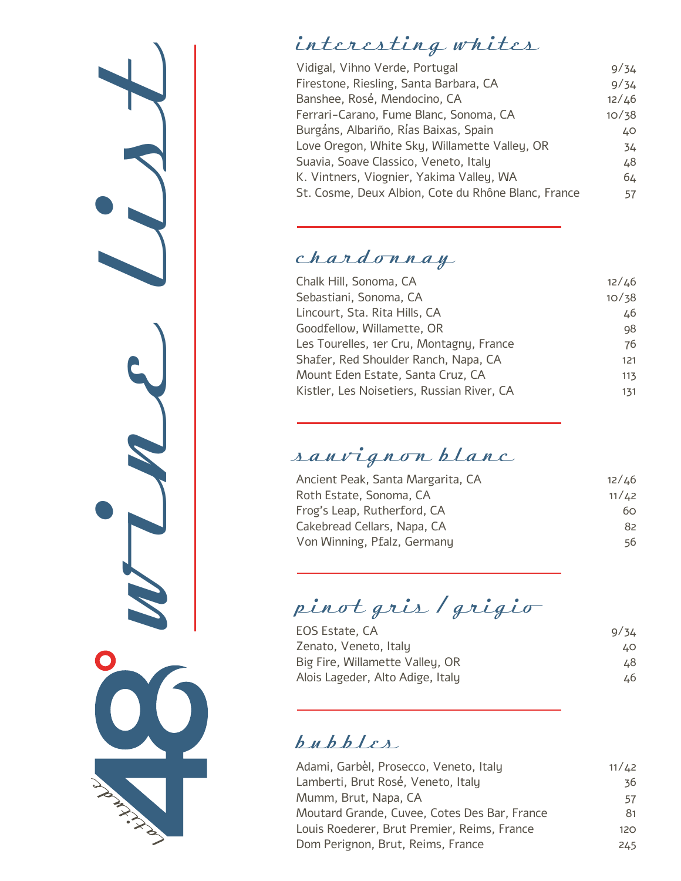

# interesting whites

| Vidigal, Vihno Verde, Portugal                      | 9/34  |
|-----------------------------------------------------|-------|
| Firestone, Riesling, Santa Barbara, CA              | 9/34  |
| Banshee, Rosé, Mendocino, CA                        | 12/46 |
| Ferrari-Carano, Fume Blanc, Sonoma, CA              | 10/38 |
| Burgáns, Albariño, Rías Baixas, Spain               | 40    |
| Love Oregon, White Sky, Willamette Valley, OR       | 34    |
| Suavia, Soave Classico, Veneto, Italy               | 48    |
| K. Vintners, Viognier, Yakima Valley, WA            | 64    |
| St. Cosme, Deux Albion, Cote du Rhône Blanc, France | 57    |
|                                                     |       |

### chardonnay

| Chalk Hill, Sonoma, CA                     | 12/46 |
|--------------------------------------------|-------|
| Sebastiani, Sonoma, CA                     | 10/38 |
| Lincourt, Sta. Rita Hills, CA              | 46    |
| Goodfellow, Willamette, OR                 | 98    |
| Les Tourelles, 1er Cru, Montagny, France   | 76    |
| Shafer, Red Shoulder Ranch, Napa, CA       | 121   |
| Mount Eden Estate, Santa Cruz, CA          | 113   |
| Kistler, Les Noisetiers, Russian River, CA | 131   |

# sauv ignon blanc

| Ancient Peak, Santa Margarita, CA | 12/L6   |
|-----------------------------------|---------|
| Roth Estate, Sonoma, CA           | 11 / 42 |
| Frog's Leap, Rutherford, CA       | 60.     |
| Cakebread Cellars, Napa, CA       | 82      |
| Von Winning, Pfalz, Germany       | 56      |

pinot gris / grigio

| EOS Estate, CA                   | 9/34 |
|----------------------------------|------|
| Zenato, Veneto, Italu            | LO.  |
| Big Fire, Willamette Valley, OR  | 48.  |
| Alois Lageder, Alto Adige, Italy | 46.  |

## bubbles

| Adami, Garbèl, Prosecco, Veneto, Italy       | 11/42 |
|----------------------------------------------|-------|
| Lamberti, Brut Rosé, Veneto, Italy           | 36    |
| Mumm, Brut, Napa, CA                         | 57    |
| Moutard Grande, Cuvee, Cotes Des Bar, France | 81    |
| Louis Roederer, Brut Premier, Reims, France  | 120   |
| Dom Perignon, Brut, Reims, France            | 245   |